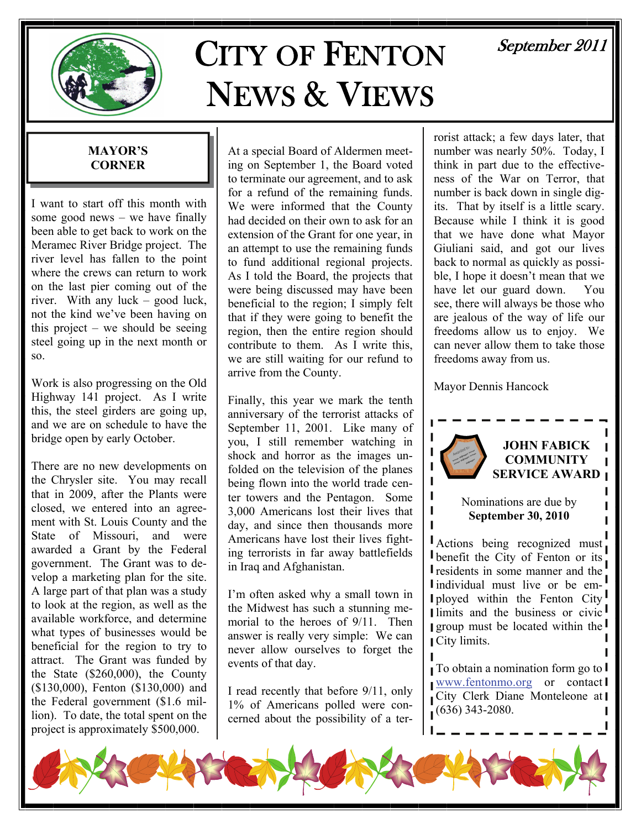

# CITY OF FENTON NEWS & VIEWS

# September 2011

# **MAYOR'S CORNER**

I want to start off this month with some good news  $-$  we have finally been able to get back to work on the Meramec River Bridge project. The river level has fallen to the point where the crews can return to work on the last pier coming out of the river. With any luck – good luck, not the kind we've been having on this project – we should be seeing steel going up in the next month or so.

Work is also progressing on the Old Highway 141 project. As I write this, the steel girders are going up, and we are on schedule to have the bridge open by early October.

There are no new developments on the Chrysler site. You may recall that in 2009, after the Plants were closed, we entered into an agreement with St. Louis County and the State of Missouri, and were awarded a Grant by the Federal government. The Grant was to develop a marketing plan for the site. A large part of that plan was a study to look at the region, as well as the available workforce, and determine what types of businesses would be beneficial for the region to try to attract. The Grant was funded by the State (\$260,000), the County (\$130,000), Fenton (\$130,000) and the Federal government (\$1.6 million). To date, the total spent on the project is approximately \$500,000.

At a special Board of Aldermen meeting on September 1, the Board voted to terminate our agreement, and to ask for a refund of the remaining funds. We were informed that the County had decided on their own to ask for an extension of the Grant for one year, in an attempt to use the remaining funds to fund additional regional projects. As I told the Board, the projects that were being discussed may have been beneficial to the region; I simply felt that if they were going to benefit the region, then the entire region should contribute to them. As I write this, we are still waiting for our refund to arrive from the County.

Finally, this year we mark the tenth anniversary of the terrorist attacks of September 11, 2001. Like many of you, I still remember watching in shock and horror as the images unfolded on the television of the planes being flown into the world trade center towers and the Pentagon. Some 3,000 Americans lost their lives that day, and since then thousands more Americans have lost their lives fighting terrorists in far away battlefields in Iraq and Afghanistan.

I'm often asked why a small town in the Midwest has such a stunning memorial to the heroes of 9/11. Then answer is really very simple: We can never allow ourselves to forget the events of that day.

I read recently that before 9/11, only 1% of Americans polled were concerned about the possibility of a terrorist attack; a few days later, that number was nearly 50%. Today, I think in part due to the effectiveness of the War on Terror, that number is back down in single digits. That by itself is a little scary. Because while I think it is good that we have done what Mayor Giuliani said, and got our lives back to normal as quickly as possible, I hope it doesn't mean that we have let our guard down. You see, there will always be those who are jealous of the way of life our freedoms allow us to enjoy. We can never allow them to take those freedoms away from us.

Mayor Dennis Hancock



# **JOHN FABICK COMMUNITY SERVICE AWARD**

Nominations are due by **September 30, 2010** 

Actions being recognized must benefit the City of Fenton or its **I** residents in some manner and the Individual must live or be em-**I** ployed within the Fenton City limits and the business or civic **group** must be located within the City limits.

To obtain a nomination form go to [www.fentonmo.org](http://www.fentonmo.org) or contact City Clerk Diane Monteleone at (636) 343-2080.

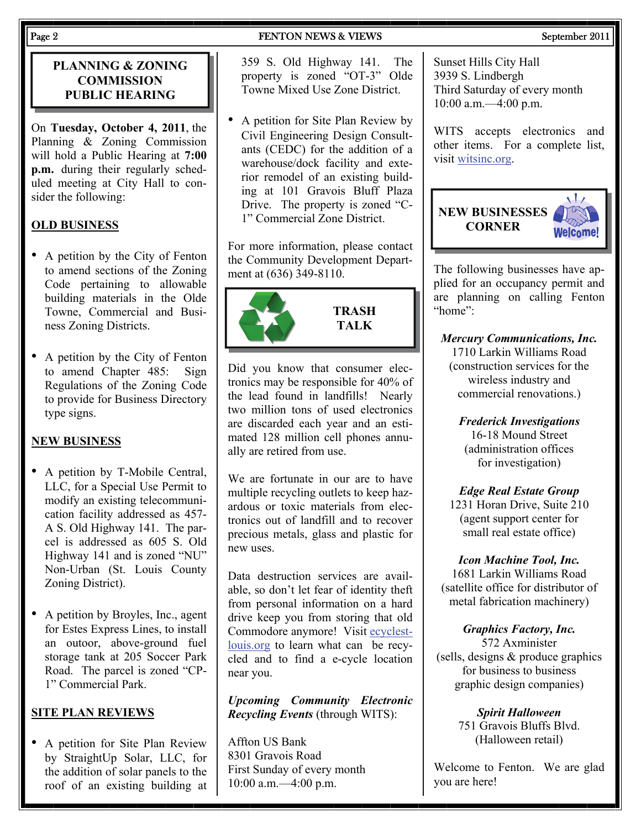# Page 2 September 2011

# **PLANNING & ZONING COMMISSION PUBLIC HEARING**

On **Tuesday, October 4, 2011**, the Planning & Zoning Commission will hold a Public Hearing at **7:00 p.m.** during their regularly scheduled meeting at City Hall to consider the following:

# **OLD BUSINESS**

- A petition by the City of Fenton to amend sections of the Zoning Code pertaining to allowable building materials in the Olde Towne, Commercial and Business Zoning Districts.
- A petition by the City of Fenton to amend Chapter 485: Sign Regulations of the Zoning Code to provide for Business Directory type signs.

# **NEW BUSINESS**

- A petition by T-Mobile Central, LLC, for a Special Use Permit to modify an existing telecommunication facility addressed as 457- A S. Old Highway 141. The parcel is addressed as 605 S. Old Highway 141 and is zoned "NU" Non-Urban (St. Louis County Zoning District).
- A petition by Broyles, Inc., agent for Estes Express Lines, to install an outoor, above-ground fuel storage tank at 205 Soccer Park Road. The parcel is zoned "CP-1" Commercial Park.

# **SITE PLAN REVIEWS**

• A petition for Site Plan Review by StraightUp Solar, LLC, for the addition of solar panels to the roof of an existing building at 359 S. Old Highway 141. The property is zoned "OT-3" Olde Towne Mixed Use Zone District.

• A petition for Site Plan Review by Civil Engineering Design Consultants (CEDC) for the addition of a warehouse/dock facility and exterior remodel of an existing building at 101 Gravois Bluff Plaza Drive. The property is zoned "C-1" Commercial Zone District.

For more information, please contact the Community Development Department at (636) 349-8110.



#### **TRASH TALK**

Did you know that consumer electronics may be responsible for 40% of the lead found in landfills! Nearly two million tons of used electronics are discarded each year and an estimated 128 million cell phones annually are retired from use.

We are fortunate in our are to have multiple recycling outlets to keep hazardous or toxic materials from electronics out of landfill and to recover precious metals, glass and plastic for new uses.

Data destruction services are available, so don't let fear of identity theft from personal information on a hard drive keep you from storing that old Commodore anymore! Visit ecyclestlouis.org to learn what can be recycled and to find a e-cycle location near you.

*Upcoming Community Electronic Recycling Events* (through WITS):

Affton US Bank 8301 Gravois Road First Sunday of every month 10:00 a.m.—4:00 p.m.

Sunset Hills City Hall 3939 S. Lindbergh Third Saturday of every month 10:00 a.m.—4:00 p.m.

WITS accepts electronics and other items. For a complete list, visit witsinc.org.



The following businesses have applied for an occupancy permit and are planning on calling Fenton "home":

*Mercury Communications, Inc.*  1710 Larkin Williams Road (construction services for the wireless industry and commercial renovations.)

> *Frederick Investigations*  16-18 Mound Street (administration offices for investigation)

> *Edge Real Estate Group*

1231 Horan Drive, Suite 210 (agent support center for small real estate office)

*Icon Machine Tool, Inc.* 

1681 Larkin Williams Road (satellite office for distributor of metal fabrication machinery)

*Graphics Factory, Inc.*  572 Axminister (sells, designs & produce graphics for business to business graphic design companies)

> *Spirit Halloween*  751 Gravois Bluffs Blvd. (Halloween retail)

Welcome to Fenton. We are glad you are here!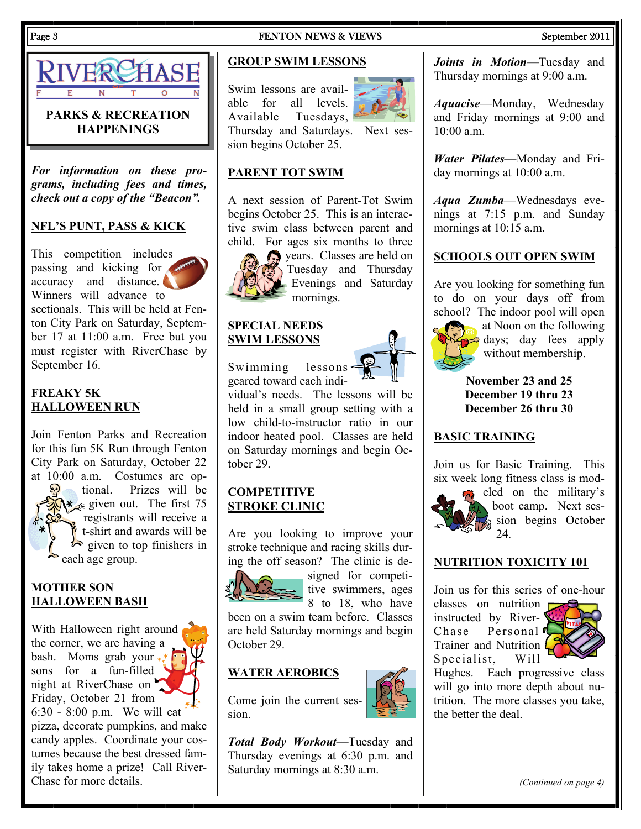

# **PARKS & RECREATION HAPPENINGS**

*For information on these programs, including fees and times, check out a copy of the "Beacon".* 

## **NFL'S PUNT, PASS & KICK**

This competition includes passing and kicking for accuracy and distance. Winners will advance to

sectionals. This will be held at Fenton City Park on Saturday, September 17 at 11:00 a.m. Free but you must register with RiverChase by September 16.

# **FREAKY 5K HALLOWEEN RUN**

Join Fenton Parks and Recreation for this fun 5K Run through Fenton City Park on Saturday, October 22 at 10:00 a.m. Costumes are optional. Prizes will be  $\mathcal{N}$  given out. The first 75

registrants will receive a t-shirt and awards will be  $\sum$  given to top finishers in each age group.

# **MOTHER SON HALLOWEEN BASH**

With Halloween right around the corner, we are having a bash. Moms grab your  $*$ sons for a fun-filled night at RiverChase on Friday, October 21 from 6:30 - 8:00 p.m. We will eat pizza, decorate pumpkins, and make candy apples. Coordinate your costumes because the best dressed family takes home a prize! Call River-Chase for more details.

# Page 3 September 2011 **FENTON NEWS & VIEWS** September 2011

A next session of Parent-Tot Swim begins October 25. This is an interactive swim class between parent and child. For ages six months to three

mornings.

years. Classes are held on Tuesday and Thursday Evenings and Saturday

# **GROUP SWIM LESSONS**

Swim lessons are available for all levels. Available Tuesdays, Thursday and Saturdays. Next session begins October 25.

**PARENT TOT SWIM**



*Joints in Motion*—Tuesday and Thursday mornings at 9:00 a.m.

*Aquacise*—Monday, Wednesday and Friday mornings at 9:00 and  $10:00$  a.m.

*Water Pilates*—Monday and Friday mornings at 10:00 a.m.

*Aqua Zumba*—Wednesdays evenings at 7:15 p.m. and Sunday mornings at 10:15 a.m.

#### **SCHOOLS OUT OPEN SWIM**

Are you looking for something fun to do on your days off from school? The indoor pool will open



at Noon on the following days; day fees apply without membership.

**November 23 and 25 December 19 thru 23 December 26 thru 30** 

# **BASIC TRAINING**

Join us for Basic Training. This six week long fitness class is mod-



eled on the military's boot camp. Next session begins October 24.

## **NUTRITION TOXICITY 101**

Join us for this series of one-hour

classes on nutrition instructed by River-Chase Personal<sup>d</sup> Trainer and Nutrition Specialist, Will



Hughes. Each progressive class will go into more depth about nutrition. The more classes you take, the better the deal.

*Total Body Workout*—Tuesday and Thursday evenings at 6:30 p.m. and Saturday mornings at 8:30 a.m.

*(Continued on page 4)* 



geared toward each individual's needs. The lessons will be held in a small group setting with a low child-to-instructor ratio in our indoor heated pool. Classes are held on Saturday mornings and begin Oc-

# **COMPETITIVE STROKE CLINIC**

tober 29.

**SPECIAL NEEDS SWIM LESSONS**

Swimming lessons

Are you looking to improve your stroke technique and racing skills during the off season? The clinic is de-



signed for competitive swimmers, ages 8 to 18, who have

been on a swim team before. Classes are held Saturday mornings and begin October 29.

# **WATER AEROBICS**

Come join the current session.

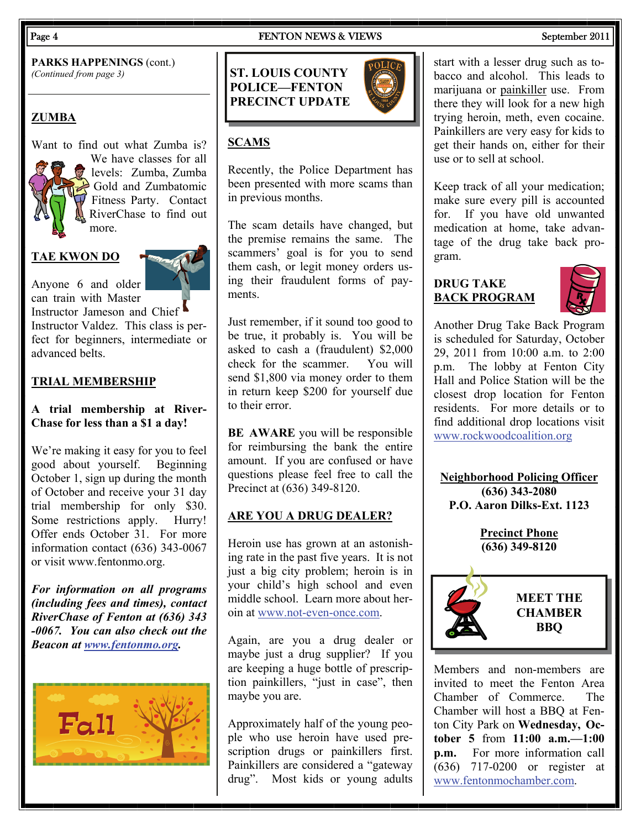**PARKS HAPPENINGS** (cont.) *(Continued from page 3)* 

# **ZUMBA**

Want to find out what Zumba is? We have classes for all levels: Zumba, Zumba  $\leftrightarrow$  Gold and Zumbatomic Fitness Party. Contact RiverChase to find out more.

### **TAE KWON DO**

Anyone 6 and older can train with Master

Instructor Jameson and Chief Instructor Valdez. This class is perfect for beginners, intermediate or advanced belts.

#### **TRIAL MEMBERSHIP**

# **A trial membership at River-Chase for less than a \$1 a day!**

We're making it easy for you to feel good about yourself. Beginning October 1, sign up during the month of October and receive your 31 day trial membership for only \$30. Some restrictions apply. Hurry! Offer ends October 31. For more information contact (636) 343-0067 or visit www.fentonmo.org.

*For information on all programs (including fees and times), contact RiverChase of Fenton at (636) 343 -0067. You can also check out the Beacon at [www.fentonmo.org](http://www.fentonmo.org/).*



# **ST. LOUIS COUNTY POLICE—FENTON PRECINCT UPDATE**



# **SCAMS**

Recently, the Police Department has been presented with more scams than in previous months.

The scam details have changed, but the premise remains the same. The scammers' goal is for you to send them cash, or legit money orders using their fraudulent forms of payments.

Just remember, if it sound too good to be true, it probably is. You will be asked to cash a (fraudulent) \$2,000 check for the scammer. You will send \$1,800 via money order to them in return keep \$200 for yourself due to their error.

**BE AWARE** you will be responsible for reimbursing the bank the entire amount. If you are confused or have questions please feel free to call the Precinct at (636) 349-8120.

## **ARE YOU A DRUG DEALER?**

Heroin use has grown at an astonishing rate in the past five years. It is not just a big city problem; heroin is in your child's high school and even middle school. Learn more about heroin at [www.not-even-once.com.](http://www.not-even-once.com)

Again, are you a drug dealer or maybe just a drug supplier? If you are keeping a huge bottle of prescription painkillers, "just in case", then maybe you are.

Approximately half of the young people who use heroin have used prescription drugs or painkillers first. Painkillers are considered a "gateway drug". Most kids or young adults

# start with a lesser drug such as tobacco and alcohol. This leads to marijuana or painkiller use. From there they will look for a new high trying heroin, meth, even cocaine. Painkillers are very easy for kids to get their hands on, either for their use or to sell at school.

Keep track of all your medication; make sure every pill is accounted for. If you have old unwanted medication at home, take advantage of the drug take back program.

# **DRUG TAKE BACK PROGRAM**



Another Drug Take Back Program is scheduled for Saturday, October 29, 2011 from 10:00 a.m. to 2:00 p.m. The lobby at Fenton City Hall and Police Station will be the closest drop location for Fenton residents. For more details or to find additional drop locations visit [www.rockwoodcoalition.org](http://www.rockwoodcoalition.org)

**Neighborhood Policing Officer (636) 343-2080 P.O. Aaron Dilks-Ext. 1123** 

> **Precinct Phone (636) 349-8120**



Members and non-members are invited to meet the Fenton Area Chamber of Commerce. The Chamber will host a BBQ at Fenton City Park on **Wednesday, October 5** from **11:00 a.m.—1:00 p.m.** For more information call (636) 717-0200 or register at [www.fentonmochamber.com](http://www.fentonmochamber.com).

Page 4 FENTON NEWS & VIEWS September 2011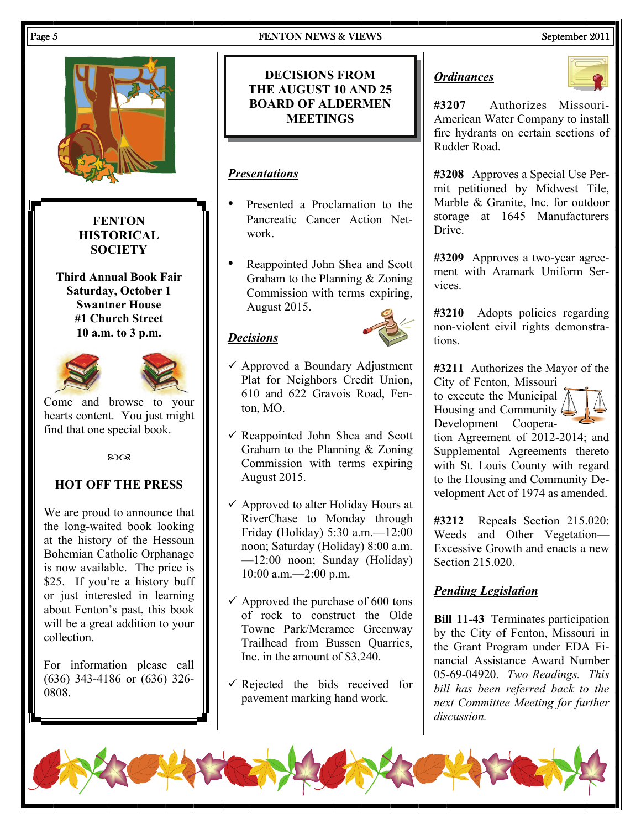

# *Ordinances*



**#3207** Authorizes Missouri-American Water Company to install fire hydrants on certain sections of Rudder Road.

**#3208** Approves a Special Use Permit petitioned by Midwest Tile, Marble & Granite, Inc. for outdoor storage at 1645 Manufacturers **Drive** 

**#3209** Approves a two-year agreement with Aramark Uniform Services.

**#3210** Adopts policies regarding non-violent civil rights demonstrations.

**#3211** Authorizes the Mayor of the City of Fenton, Missouri

to execute the Municipal Housing and Community Development Coopera-



tion Agreement of 2012-2014; and Supplemental Agreements thereto with St. Louis County with regard to the Housing and Community Development Act of 1974 as amended.

**#3212** Repeals Section 215.020: Weeds and Other Vegetation— Excessive Growth and enacts a new Section 215.020.

# *Pending Legislation*

**Bill 11-43** Terminates participation by the City of Fenton, Missouri in the Grant Program under EDA Financial Assistance Award Number 05-69-04920. *Two Readings. This bill has been referred back to the next Committee Meeting for further discussion.* 



**DECISIONS FROM THE AUGUST 10 AND 25 BOARD OF ALDERMEN MEETINGS** 

# *Presentations*

- Presented a Proclamation to the Pancreatic Cancer Action Network.
- Reappointed John Shea and Scott Graham to the Planning & Zoning Commission with terms expiring, August 2015.

# *Decisions*



- $\checkmark$  Approved a Boundary Adjustment Plat for Neighbors Credit Union, 610 and 622 Gravois Road, Fenton, MO.
- $\checkmark$  Reappointed John Shea and Scott Graham to the Planning & Zoning Commission with terms expiring August 2015.
- $\checkmark$  Approved to alter Holiday Hours at RiverChase to Monday through Friday (Holiday) 5:30 a.m.—12:00 noon; Saturday (Holiday) 8:00 a.m. —12:00 noon; Sunday (Holiday) 10:00 a.m.—2:00 p.m.
- $\checkmark$  Approved the purchase of 600 tons of rock to construct the Olde Towne Park/Meramec Greenway Trailhead from Bussen Quarries, Inc. in the amount of \$3,240.
- $\checkmark$  Rejected the bids received for pavement marking hand work.